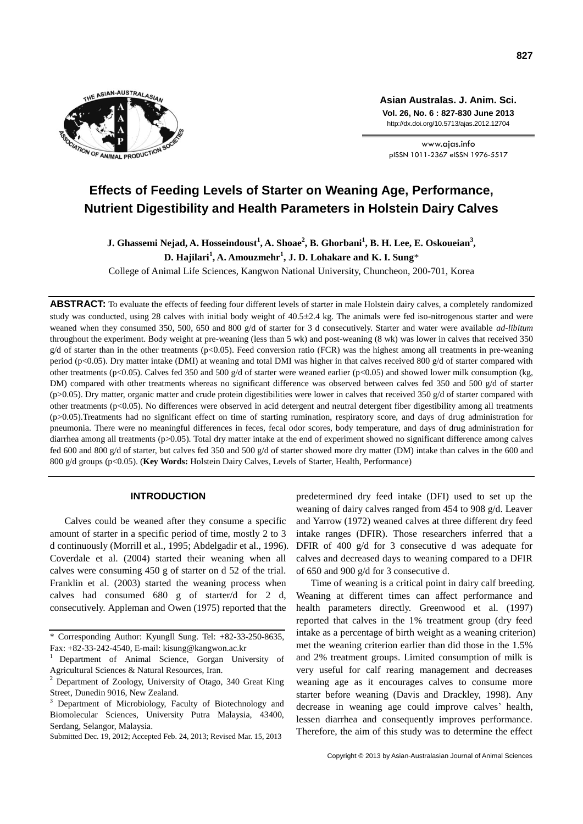

**Asian Australas. J. Anim. Sci. Vol. 26, No. 6 : 827-830 June 2013** http://dx.doi.org/10.5713/ajas.2012.12704

www.ajas.info pISSN 1011-2367 eISSN 1976-5517

# **Effects of Feeding Levels of Starter on Weaning Age, Performance, Nutrient Digestibility and Health Parameters in Holstein Dairy Calves**

**J. Ghassemi Nejad, A. Hosseindoust<sup>1</sup> , A. Shoae<sup>2</sup> , B. Ghorbani<sup>1</sup> , B. H. Lee, E. Oskoueian<sup>3</sup> , D. Hajilari<sup>1</sup> , A. Amouzmehr<sup>1</sup> , J. D. Lohakare and K. I. Sung**\*

College of Animal Life Sciences, Kangwon National University, Chuncheon, 200-701, Korea

**ABSTRACT:** To evaluate the effects of feeding four different levels of starter in male Holstein dairy calves, a completely randomized study was conducted, using 28 calves with initial body weight of 40.5±2.4 kg. The animals were fed iso-nitrogenous starter and were weaned when they consumed 350, 500, 650 and 800 g/d of starter for 3 d consecutively. Starter and water were available *ad-libitum* throughout the experiment. Body weight at pre-weaning (less than 5 wk) and post-weaning (8 wk) was lower in calves that received 350  $g/d$  of starter than in the other treatments (p<0.05). Feed conversion ratio (FCR) was the highest among all treatments in pre-weaning period (p<0.05). Dry matter intake (DMI) at weaning and total DMI was higher in that calves received 800 g/d of starter compared with other treatments (p<0.05). Calves fed 350 and 500 g/d of starter were weaned earlier (p<0.05) and showed lower milk consumption (kg, DM) compared with other treatments whereas no significant difference was observed between calves fed 350 and 500 g/d of starter ( $p$ >0.05). Dry matter, organic matter and crude protein digestibilities were lower in calves that received 350 g/d of starter compared with other treatments (p<0.05). No differences were observed in acid detergent and neutral detergent fiber digestibility among all treatments (p>0.05).Treatments had no significant effect on time of starting rumination, respiratory score, and days of drug administration for pneumonia. There were no meaningful differences in feces, fecal odor scores, body temperature, and days of drug administration for diarrhea among all treatments (p>0.05). Total dry matter intake at the end of experiment showed no significant difference among calves fed 600 and 800 g/d of starter, but calves fed 350 and 500 g/d of starter showed more dry matter (DM) intake than calves in the 600 and 800 g/d groups (p<0.05). (**Key Words:** Holstein Dairy Calves, Levels of Starter, Health, Performance)

## **INTRODUCTION**

Calves could be weaned after they consume a specific amount of starter in a specific period of time, mostly 2 to 3 d continuously (Morrill et al., 1995; Abdelgadir et al., 1996). Coverdale et al. (2004) started their weaning when all calves were consuming 450 g of starter on d 52 of the trial. Franklin et al. (2003) started the weaning process when calves had consumed 680 g of starter/d for 2 d, consecutively. Appleman and Owen (1975) reported that the

Submitted Dec. 19, 2012; Accepted Feb. 24, 2013; Revised Mar. 15, 2013

predetermined dry feed intake (DFI) used to set up the weaning of dairy calves ranged from 454 to 908 g/d. Leaver and Yarrow (1972) weaned calves at three different dry feed intake ranges (DFIR). Those researchers inferred that a DFIR of 400 g/d for 3 consecutive d was adequate for calves and decreased days to weaning compared to a DFIR of 650 and 900 g/d for 3 consecutive d.

Time of weaning is a critical point in dairy calf breeding. Weaning at different times can affect performance and health parameters directly. Greenwood et al. (1997) reported that calves in the 1% treatment group (dry feed intake as a percentage of birth weight as a weaning criterion) met the weaning criterion earlier than did those in the 1.5% and 2% treatment groups. Limited consumption of milk is very useful for calf rearing management and decreases weaning age as it encourages calves to consume more starter before weaning (Davis and Drackley, 1998). Any decrease in weaning age could improve calves' health, lessen diarrhea and consequently improves performance. Therefore, the aim of this study was to determine the effect

<sup>\*</sup> Corresponding Author: KyungIl Sung. Tel: +82-33-250-8635, Fax: +82-33-242-4540, E-mail: kisung@kangwon.ac.kr

<sup>1</sup>Department of Animal Science, Gorgan University of Agricultural Sciences & Natural Resources, Iran.

<sup>2</sup> Department of Zoology, University of Otago, 340 Great King Street, Dunedin 9016, New Zealand.

Department of Microbiology, Faculty of Biotechnology and Biomolecular Sciences, University Putra Malaysia, 43400, Serdang, Selangor, Malaysia.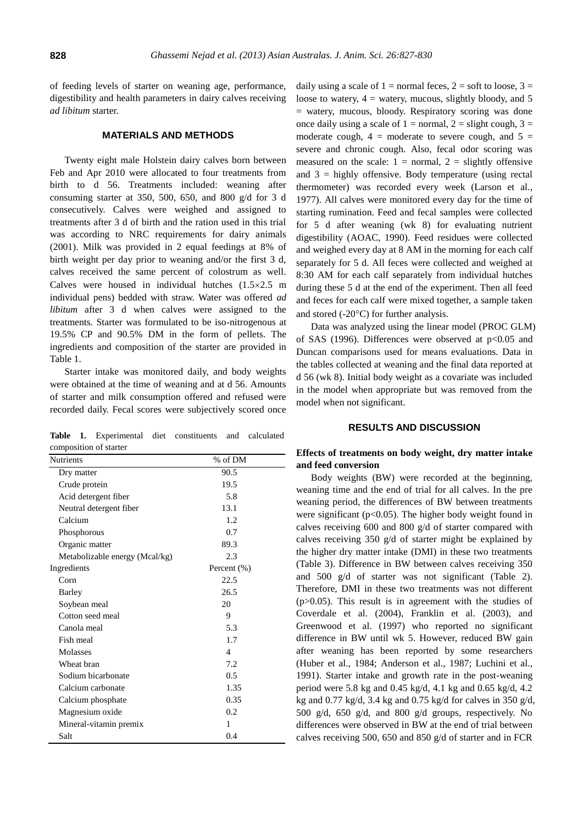of feeding levels of starter on weaning age, performance, digestibility and health parameters in dairy calves receiving *ad libitum* starter.

## **MATERIALS AND METHODS**

Twenty eight male Holstein dairy calves born between Feb and Apr 2010 were allocated to four treatments from birth to d 56. Treatments included: weaning after consuming starter at 350, 500, 650, and 800 g/d for 3 d consecutively. Calves were weighed and assigned to treatments after 3 d of birth and the ration used in this trial was according to NRC requirements for dairy animals (2001). Milk was provided in 2 equal feedings at 8% of birth weight per day prior to weaning and/or the first 3 d, calves received the same percent of colostrum as well. Calves were housed in individual hutches  $(1.5 \times 2.5$  m individual pens) bedded with straw. Water was offered *ad libitum* after 3 d when calves were assigned to the treatments. Starter was formulated to be iso-nitrogenous at 19.5% CP and 90.5% DM in the form of pellets. The ingredients and composition of the starter are provided in Table 1.

Starter intake was monitored daily, and body weights were obtained at the time of weaning and at d 56. Amounts of starter and milk consumption offered and refused were recorded daily. Fecal scores were subjectively scored once

**Table 1.** Experimental diet constituents and calculated composition of starter

| <b>Nutrients</b>               | % of DM     |
|--------------------------------|-------------|
| Dry matter                     | 90.5        |
| Crude protein                  | 19.5        |
| Acid detergent fiber           | 5.8         |
| Neutral detergent fiber        | 13.1        |
| Calcium                        | 1.2         |
| Phosphorous                    | 0.7         |
| Organic matter                 | 89.3        |
| Metabolizable energy (Mcal/kg) | 2.3         |
| Ingredients                    | Percent (%) |
| Corn                           | 22.5        |
| Barley                         | 26.5        |
| Soybean meal                   | 20          |
| Cotton seed meal               | 9           |
| Canola meal                    | 5.3         |
| Fish meal                      | 1.7         |
| Molasses                       | 4           |
| Wheat bran                     | 7.2         |
| Sodium bicarbonate             | 0.5         |
| Calcium carbonate              | 1.35        |
| Calcium phosphate              | 0.35        |
| Magnesium oxide                | 0.2         |
| Mineral-vitamin premix         | 1           |
| Salt                           | 0.4         |

daily using a scale of  $1 =$  normal feces,  $2 =$  soft to loose,  $3 =$ loose to watery,  $4 =$  watery, mucous, slightly bloody, and 5 = watery, mucous, bloody. Respiratory scoring was done once daily using a scale of  $1 =$  normal,  $2 =$  slight cough,  $3 =$ moderate cough,  $4 =$  moderate to severe cough, and  $5 =$ severe and chronic cough. Also, fecal odor scoring was measured on the scale:  $1 = normal$ ,  $2 = slightly$  offensive and  $3$  = highly offensive. Body temperature (using rectal thermometer) was recorded every week (Larson et al., 1977). All calves were monitored every day for the time of starting rumination. Feed and fecal samples were collected for 5 d after weaning (wk 8) for evaluating nutrient digestibility (AOAC, 1990). Feed residues were collected and weighed every day at 8 AM in the morning for each calf separately for 5 d. All feces were collected and weighed at 8:30 AM for each calf separately from individual hutches during these 5 d at the end of the experiment. Then all feed and feces for each calf were mixed together, a sample taken and stored  $(-20^{\circ}C)$  for further analysis.

Data was analyzed using the linear model (PROC GLM) of SAS (1996). Differences were observed at  $p<0.05$  and Duncan comparisons used for means evaluations. Data in the tables collected at weaning and the final data reported at d 56 (wk 8). Initial body weight as a covariate was included in the model when appropriate but was removed from the model when not significant.

#### **RESULTS AND DISCUSSION**

## **Effects of treatments on body weight, dry matter intake and feed conversion**

Body weights (BW) were recorded at the beginning, weaning time and the end of trial for all calves. In the pre weaning period, the differences of BW between treatments were significant (p<0.05). The higher body weight found in calves receiving 600 and 800 g/d of starter compared with calves receiving 350 g/d of starter might be explained by the higher dry matter intake (DMI) in these two treatments (Table 3). Difference in BW between calves receiving 350 and 500 g/d of starter was not significant (Table 2). Therefore, DMI in these two treatments was not different (p>0.05). This result is in agreement with the studies of Coverdale et al. (2004), Franklin et al. (2003), and Greenwood et al. (1997) who reported no significant difference in BW until wk 5. However, reduced BW gain after weaning has been reported by some researchers (Huber et al., 1984; Anderson et al., 1987; Luchini et al., 1991). Starter intake and growth rate in the post-weaning period were 5.8 kg and 0.45 kg/d, 4.1 kg and 0.65 kg/d, 4.2 kg and 0.77 kg/d, 3.4 kg and 0.75 kg/d for calves in 350 g/d, 500 g/d, 650 g/d, and 800 g/d groups, respectively. No differences were observed in BW at the end of trial between calves receiving 500, 650 and 850 g/d of starter and in FCR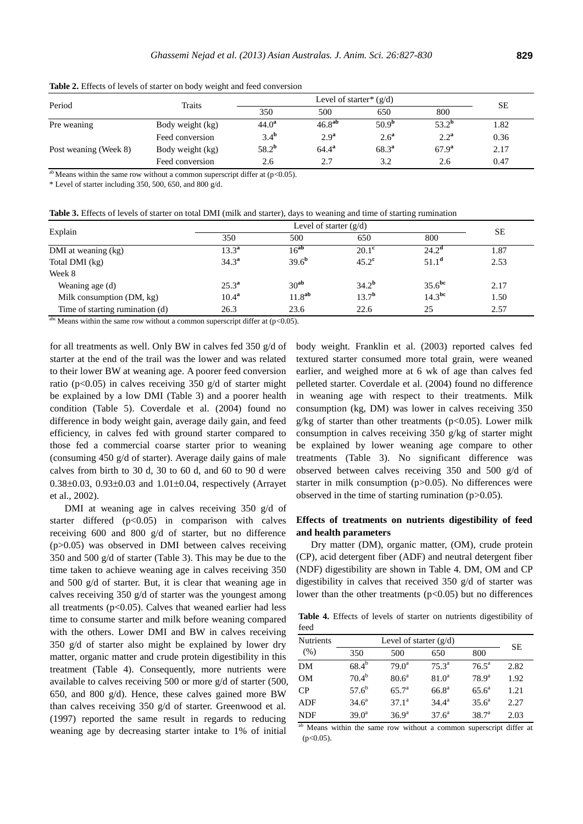| Period                | Traits           |                  | <b>SE</b>          |                   |                  |      |
|-----------------------|------------------|------------------|--------------------|-------------------|------------------|------|
|                       |                  | 350              | 500                | 650               | 800              |      |
| Pre weaning           | Body weight (kg) | $44.0^{\rm a}$   | 46.8 <sup>ab</sup> | 50.9 <sup>b</sup> | $53.2^{\rm b}$   | 1.82 |
|                       | Feed conversion  | 3.4 <sup>b</sup> | 2.9 <sup>a</sup>   | 2.6 <sup>a</sup>  | 2.2 <sup>a</sup> | 0.36 |
| Post weaning (Week 8) | Body weight (kg) | $58.2^{b}$       | $64.4^{\rm a}$     | $68.3^{a}$        | $67.9^{\rm a}$   | 2.17 |
|                       | Feed conversion  | 2.6              | 2.7                | 3.2               | 2.6              | 0.47 |

**Table 2.** Effects of levels of starter on body weight and feed conversion

 $a<sup>b</sup>$  Means within the same row without a common superscript differ at (p<0.05).

\* Level of starter including 350, 500, 650, and 800 g/d.

**Table 3.** Effects of levels of starter on total DMI (milk and starter), days to weaning and time of starting rumination

| Explain                         | Level of starter $(g/d)$ |                    |                   |                    | <b>SE</b> |
|---------------------------------|--------------------------|--------------------|-------------------|--------------------|-----------|
|                                 | 350                      | 500                | 650               | 800                |           |
| DMI at weaning (kg)             | $13.3^{\rm a}$           | $16^{ab}$          | $20.1^{\circ}$    | $24.2^{\alpha}$    | .87ء      |
| Total DMI (kg)                  | $34.3^{\rm a}$           | 39.6 <sup>b</sup>  | $45.2^{\text{c}}$ | $51.1^{\rm d}$     | 2.53      |
| Week 8                          |                          |                    |                   |                    |           |
| Weaning age (d)                 | $25.3^{\rm a}$           | 30 <sup>ab</sup>   | 34.2 <sup>b</sup> | 35.6 <sup>bc</sup> | 2.17      |
| Milk consumption (DM, kg)       | $10.4^{\rm a}$           | 11.8 <sup>ab</sup> | 13.7 <sup>b</sup> | 14.3 <sup>bc</sup> | 1.50      |
| Time of starting rumination (d) | 26.3                     | 23.6               | 22.6              | 25                 | 2.57      |

<sup>abc</sup> Means within the same row without a common superscript differ at ( $p$ <0.05).

for all treatments as well. Only BW in calves fed 350 g/d of starter at the end of the trail was the lower and was related to their lower BW at weaning age. A poorer feed conversion ratio ( $p<0.05$ ) in calves receiving 350 g/d of starter might be explained by a low DMI (Table 3) and a poorer health condition (Table 5). Coverdale et al. (2004) found no difference in body weight gain, average daily gain, and feed efficiency, in calves fed with ground starter compared to those fed a commercial coarse starter prior to weaning (consuming 450 g/d of starter). Average daily gains of male calves from birth to 30 d, 30 to 60 d, and 60 to 90 d were  $0.38\pm0.03$ ,  $0.93\pm0.03$  and  $1.01\pm0.04$ , respectively (Arrayet et al., 2002).

DMI at weaning age in calves receiving 350 g/d of starter differed  $(p<0.05)$  in comparison with calves receiving 600 and 800 g/d of starter, but no difference (p>0.05) was observed in DMI between calves receiving 350 and 500 g/d of starter (Table 3). This may be due to the time taken to achieve weaning age in calves receiving 350 and 500 g/d of starter. But, it is clear that weaning age in calves receiving 350 g/d of starter was the youngest among all treatments  $(p<0.05)$ . Calves that weaned earlier had less time to consume starter and milk before weaning compared with the others. Lower DMI and BW in calves receiving 350 g/d of starter also might be explained by lower dry matter, organic matter and crude protein digestibility in this treatment (Table 4). Consequently, more nutrients were available to calves receiving 500 or more g/d of starter (500, 650, and 800 g/d). Hence, these calves gained more BW than calves receiving 350 g/d of starter. Greenwood et al. (1997) reported the same result in regards to reducing weaning age by decreasing starter intake to 1% of initial

body weight. Franklin et al. (2003) reported calves fed textured starter consumed more total grain, were weaned earlier, and weighed more at 6 wk of age than calves fed pelleted starter. Coverdale et al. (2004) found no difference in weaning age with respect to their treatments. Milk consumption (kg, DM) was lower in calves receiving 350  $g/kg$  of starter than other treatments ( $p<0.05$ ). Lower milk consumption in calves receiving 350 g/kg of starter might be explained by lower weaning age compare to other treatments (Table 3). No significant difference was observed between calves receiving 350 and 500 g/d of starter in milk consumption (p>0.05). No differences were observed in the time of starting rumination (p>0.05).

## **Effects of treatments on nutrients digestibility of feed and health parameters**

Dry matter (DM), organic matter, (OM), crude protein (CP), acid detergent fiber (ADF) and neutral detergent fiber (NDF) digestibility are shown in Table 4. DM, OM and CP digestibility in calves that received 350 g/d of starter was lower than the other treatments  $(p<0.05)$  but no differences

**Table 4.** Effects of levels of starter on nutrients digestibility of feed

| Nutrients |                   | <b>SE</b>         |                   |                   |      |  |
|-----------|-------------------|-------------------|-------------------|-------------------|------|--|
| (% )      | 350               | 500               | 650               | 800               |      |  |
| DΜ        | $68.4^{b}$        | $79.0^a$          | $75.3^{\circ}$    | $76.5^{\circ}$    | 2.82 |  |
| <b>OM</b> | $70.4^{b}$        | 80.6 <sup>a</sup> | 81.0 <sup>a</sup> | 78.9 <sup>a</sup> | 1.92 |  |
| CP        | $57.6^{\rm b}$    | 65.7 <sup>a</sup> | $66.8^{\rm a}$    | $65.6^{\circ}$    | 1.21 |  |
| ADF       | $34.6^{\circ}$    | $37.1^a$          | $34.4^{\rm a}$    | $35.6^{\circ}$    | 2.27 |  |
| NDF       | 39.0 <sup>a</sup> | 36.9 <sup>a</sup> | 37.6 <sup>a</sup> | $38.7^{a}$        | 2.03 |  |

ab Means within the same row without a common superscript differ at  $(p<0.05)$ .